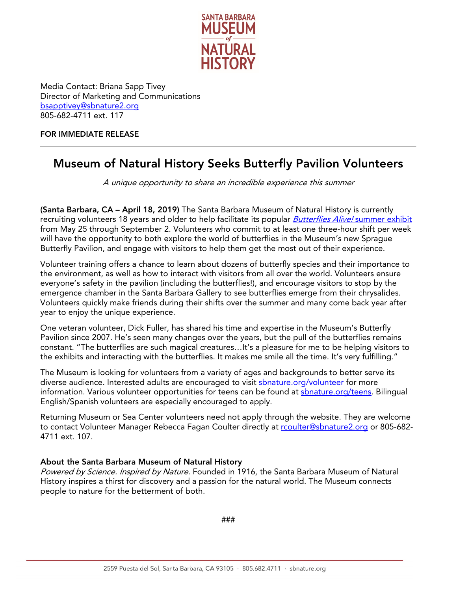

Media Contact: Briana Sapp Tivey Director of Marketing and Communications [bsapptivey@sbnature2.org](mailto:bsapptivey@sbnature2.org) 805-682-4711 ext. 117

## FOR IMMEDIATE RELEASE

## Museum of Natural History Seeks Butterfly Pavilion Volunteers

A unique opportunity to share an incredible experience this summer

(Santa Barbara, CA – April 18, 2019) The Santa Barbara Museum of Natural History is currently recruiting volunteers 18 years and older to help facilitate its popular *Butterflies Alive!* [summer exhibit](http://www.sbnature.org/visit/exhibitions/68/Butterflies%20Alive!) from May 25 through September 2. Volunteers who commit to at least one three-hour shift per week will have the opportunity to both explore the world of butterflies in the Museum's new Sprague Butterfly Pavilion, and engage with visitors to help them get the most out of their experience.

Volunteer training offers a chance to learn about dozens of butterfly species and their importance to the environment, as well as how to interact with visitors from all over the world. Volunteers ensure everyone's safety in the pavilion (including the butterflies!), and encourage visitors to stop by the emergence chamber in the Santa Barbara Gallery to see butterflies emerge from their chrysalides. Volunteers quickly make friends during their shifts over the summer and many come back year after year to enjoy the unique experience.

One veteran volunteer, Dick Fuller, has shared his time and expertise in the Museum's Butterfly Pavilion since 2007. He's seen many changes over the years, but the pull of the butterflies remains constant. "The butterflies are such magical creatures…It's a pleasure for me to be helping visitors to the exhibits and interacting with the butterflies. It makes me smile all the time. It's very fulfilling."

The Museum is looking for volunteers from a variety of ages and backgrounds to better serve its diverse audience. Interested adults are encouraged to visit [sbnature.org/volunteer](http://www.sbnature.org/volunteer) for more information. Various volunteer opportunities for teens can be found at shnature.org/teens. Bilingual English/Spanish volunteers are especially encouraged to apply.

Returning Museum or Sea Center volunteers need not apply through the website. They are welcome to contact Volunteer Manager Rebecca Fagan Coulter directly at roulter@sbnature2.org or 805-682-4711 ext. 107.

## About the Santa Barbara Museum of Natural History

Powered by Science. Inspired by Nature. Founded in 1916, the Santa Barbara Museum of Natural History inspires a thirst for discovery and a passion for the natural world. The Museum connects people to nature for the betterment of both.

###